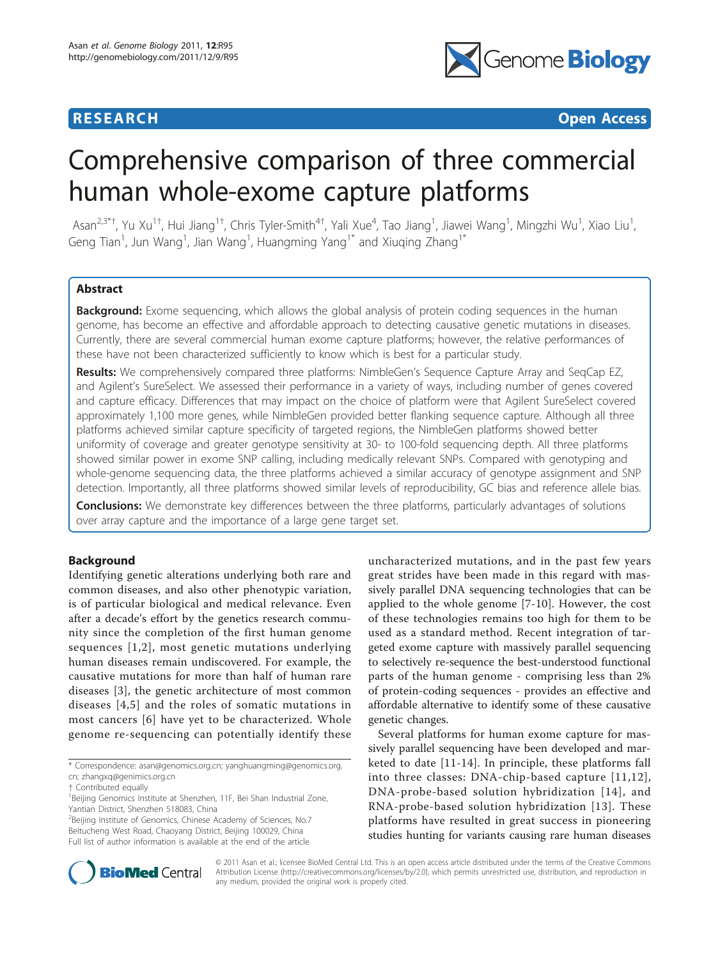

**RESEARCH CONTROL** CONTROL CONTROL CONTROL CONTROL CONTROL CONTROL CONTROL CONTROL CONTROL CONTROL CONTROL CONTROL CONTROL CONTROL CONTROL CONTROL CONTROL CONTROL CONTROL CONTROL CONTROL CONTROL CONTROL CONTROL CONTROL CON

# Comprehensive comparison of three commercial human whole-exome capture platforms

Asan<sup>2,3\*†</sup>, Yu Xu<sup>1†</sup>, Hui Jiang<sup>1†</sup>, Chris Tyler-Smith<sup>4†</sup>, Yali Xue<sup>4</sup>, Tao Jiang<sup>1</sup>, Jiawei Wang<sup>1</sup>, Mingzhi Wu<sup>1</sup>, Xiao Liu<sup>1</sup> , Geng Tian<sup>1</sup>, Jun Wang<sup>1</sup>, Jian Wang<sup>1</sup>, Huangming Yang<sup>1\*</sup> and Xiuqing Zhang<sup>1\*</sup>

# Abstract

**Background:** Exome sequencing, which allows the global analysis of protein coding sequences in the human genome, has become an effective and affordable approach to detecting causative genetic mutations in diseases. Currently, there are several commercial human exome capture platforms; however, the relative performances of these have not been characterized sufficiently to know which is best for a particular study.

Results: We comprehensively compared three platforms: NimbleGen's Sequence Capture Array and SeqCap EZ, and Agilent's SureSelect. We assessed their performance in a variety of ways, including number of genes covered and capture efficacy. Differences that may impact on the choice of platform were that Agilent SureSelect covered approximately 1,100 more genes, while NimbleGen provided better flanking sequence capture. Although all three platforms achieved similar capture specificity of targeted regions, the NimbleGen platforms showed better uniformity of coverage and greater genotype sensitivity at 30- to 100-fold sequencing depth. All three platforms showed similar power in exome SNP calling, including medically relevant SNPs. Compared with genotyping and whole-genome sequencing data, the three platforms achieved a similar accuracy of genotype assignment and SNP detection. Importantly, all three platforms showed similar levels of reproducibility, GC bias and reference allele bias.

**Conclusions:** We demonstrate key differences between the three platforms, particularly advantages of solutions over array capture and the importance of a large gene target set.

# Background

Identifying genetic alterations underlying both rare and common diseases, and also other phenotypic variation, is of particular biological and medical relevance. Even after a decade's effort by the genetics research community since the completion of the first human genome sequences [[1,2](#page-10-0)], most genetic mutations underlying human diseases remain undiscovered. For example, the causative mutations for more than half of human rare diseases [\[3](#page-10-0)], the genetic architecture of most common diseases [[4,5\]](#page-10-0) and the roles of somatic mutations in most cancers [[6](#page-10-0)] have yet to be characterized. Whole genome re-sequencing can potentially identify these

<sup>2</sup>Beijing Institute of Genomics, Chinese Academy of Sciences, No.7 Beitucheng West Road, Chaoyang District, Beijing 100029, China Full list of author information is available at the end of the article

uncharacterized mutations, and in the past few years great strides have been made in this regard with massively parallel DNA sequencing technologies that can be applied to the whole genome [[7-](#page-10-0)[10](#page-11-0)]. However, the cost of these technologies remains too high for them to be used as a standard method. Recent integration of targeted exome capture with massively parallel sequencing to selectively re-sequence the best-understood functional parts of the human genome - comprising less than 2% of protein-coding sequences - provides an effective and affordable alternative to identify some of these causative genetic changes.

Several platforms for human exome capture for massively parallel sequencing have been developed and marketed to date [[11-14\]](#page-11-0). In principle, these platforms fall into three classes: DNA-chip-based capture [[11,12\]](#page-11-0), DNA-probe-based solution hybridization [[14\]](#page-11-0), and RNA-probe-based solution hybridization [[13](#page-11-0)]. These platforms have resulted in great success in pioneering studies hunting for variants causing rare human diseases



© 2011 Asan et al.; licensee BioMed Central Ltd. This is an open access article distributed under the terms of the Creative Commons Attribution License [\(http://creativecommons.org/licenses/by/2.0](http://creativecommons.org/licenses/by/2.0)), which permits unrestricted use, distribution, and reproduction in any medium, provided the original work is properly cited.

<sup>\*</sup> Correspondence: [asan@genomics.org.cn](mailto:asan@genomics.org.cn); [yanghuangming@genomics.org.](mailto:yanghuangming@genomics.org.cn) [cn;](mailto:yanghuangming@genomics.org.cn) [zhangxq@genimics.org.cn](mailto:zhangxq@genimics.org.cn)

<sup>†</sup> Contributed equally <sup>1</sup>

<sup>&</sup>lt;sup>1</sup>Beijing Genomics Institute at Shenzhen, 11F, Bei Shan Industrial Zone, Yantian District, Shenzhen 518083, China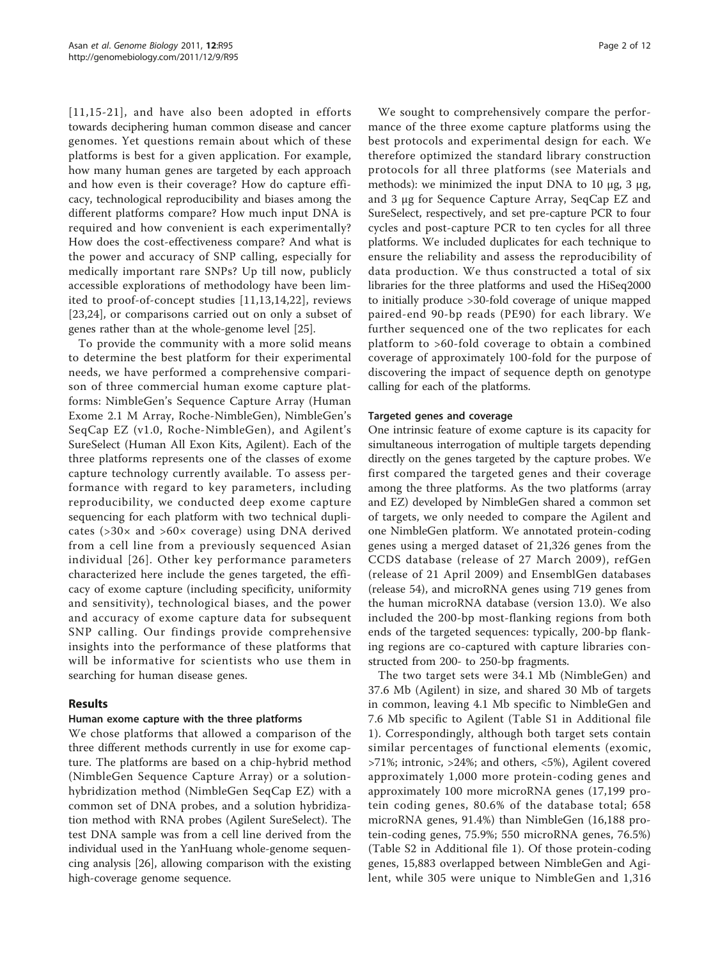[[11](#page-11-0),[15](#page-11-0)-[21](#page-11-0)], and have also been adopted in efforts towards deciphering human common disease and cancer genomes. Yet questions remain about which of these platforms is best for a given application. For example, how many human genes are targeted by each approach and how even is their coverage? How do capture efficacy, technological reproducibility and biases among the different platforms compare? How much input DNA is required and how convenient is each experimentally? How does the cost-effectiveness compare? And what is the power and accuracy of SNP calling, especially for medically important rare SNPs? Up till now, publicly accessible explorations of methodology have been limited to proof-of-concept studies [[11,13,14](#page-11-0),[22\]](#page-11-0), reviews [[23,24](#page-11-0)], or comparisons carried out on only a subset of genes rather than at the whole-genome level [\[25\]](#page-11-0).

To provide the community with a more solid means to determine the best platform for their experimental needs, we have performed a comprehensive comparison of three commercial human exome capture platforms: NimbleGen's Sequence Capture Array (Human Exome 2.1 M Array, Roche-NimbleGen), NimbleGen's SeqCap EZ (v1.0, Roche-NimbleGen), and Agilent's SureSelect (Human All Exon Kits, Agilent). Each of the three platforms represents one of the classes of exome capture technology currently available. To assess performance with regard to key parameters, including reproducibility, we conducted deep exome capture sequencing for each platform with two technical duplicates (>30× and >60× coverage) using DNA derived from a cell line from a previously sequenced Asian individual [[26](#page-11-0)]. Other key performance parameters characterized here include the genes targeted, the efficacy of exome capture (including specificity, uniformity and sensitivity), technological biases, and the power and accuracy of exome capture data for subsequent SNP calling. Our findings provide comprehensive insights into the performance of these platforms that will be informative for scientists who use them in searching for human disease genes.

# Results

# Human exome capture with the three platforms

We chose platforms that allowed a comparison of the three different methods currently in use for exome capture. The platforms are based on a chip-hybrid method (NimbleGen Sequence Capture Array) or a solutionhybridization method (NimbleGen SeqCap EZ) with a common set of DNA probes, and a solution hybridization method with RNA probes (Agilent SureSelect). The test DNA sample was from a cell line derived from the individual used in the YanHuang whole-genome sequencing analysis [[26\]](#page-11-0), allowing comparison with the existing high-coverage genome sequence.

We sought to comprehensively compare the performance of the three exome capture platforms using the best protocols and experimental design for each. We therefore optimized the standard library construction protocols for all three platforms (see Materials and methods): we minimized the input DNA to 10 μg, 3 μg, and 3 μg for Sequence Capture Array, SeqCap EZ and SureSelect, respectively, and set pre-capture PCR to four cycles and post-capture PCR to ten cycles for all three platforms. We included duplicates for each technique to ensure the reliability and assess the reproducibility of data production. We thus constructed a total of six libraries for the three platforms and used the HiSeq2000 to initially produce >30-fold coverage of unique mapped paired-end 90-bp reads (PE90) for each library. We further sequenced one of the two replicates for each platform to >60-fold coverage to obtain a combined coverage of approximately 100-fold for the purpose of discovering the impact of sequence depth on genotype calling for each of the platforms.

#### Targeted genes and coverage

One intrinsic feature of exome capture is its capacity for simultaneous interrogation of multiple targets depending directly on the genes targeted by the capture probes. We first compared the targeted genes and their coverage among the three platforms. As the two platforms (array and EZ) developed by NimbleGen shared a common set of targets, we only needed to compare the Agilent and one NimbleGen platform. We annotated protein-coding genes using a merged dataset of 21,326 genes from the CCDS database (release of 27 March 2009), refGen (release of 21 April 2009) and EnsemblGen databases (release 54), and microRNA genes using 719 genes from the human microRNA database (version 13.0). We also included the 200-bp most-flanking regions from both ends of the targeted sequences: typically, 200-bp flanking regions are co-captured with capture libraries constructed from 200- to 250-bp fragments.

The two target sets were 34.1 Mb (NimbleGen) and 37.6 Mb (Agilent) in size, and shared 30 Mb of targets in common, leaving 4.1 Mb specific to NimbleGen and 7.6 Mb specific to Agilent (Table S1 in Additional file [1\)](#page-10-0). Correspondingly, although both target sets contain similar percentages of functional elements (exomic, >71%; intronic, >24%; and others, <5%), Agilent covered approximately 1,000 more protein-coding genes and approximately 100 more microRNA genes (17,199 protein coding genes, 80.6% of the database total; 658 microRNA genes, 91.4%) than NimbleGen (16,188 protein-coding genes, 75.9%; 550 microRNA genes, 76.5%) (Table S2 in Additional file [1](#page-10-0)). Of those protein-coding genes, 15,883 overlapped between NimbleGen and Agilent, while 305 were unique to NimbleGen and 1,316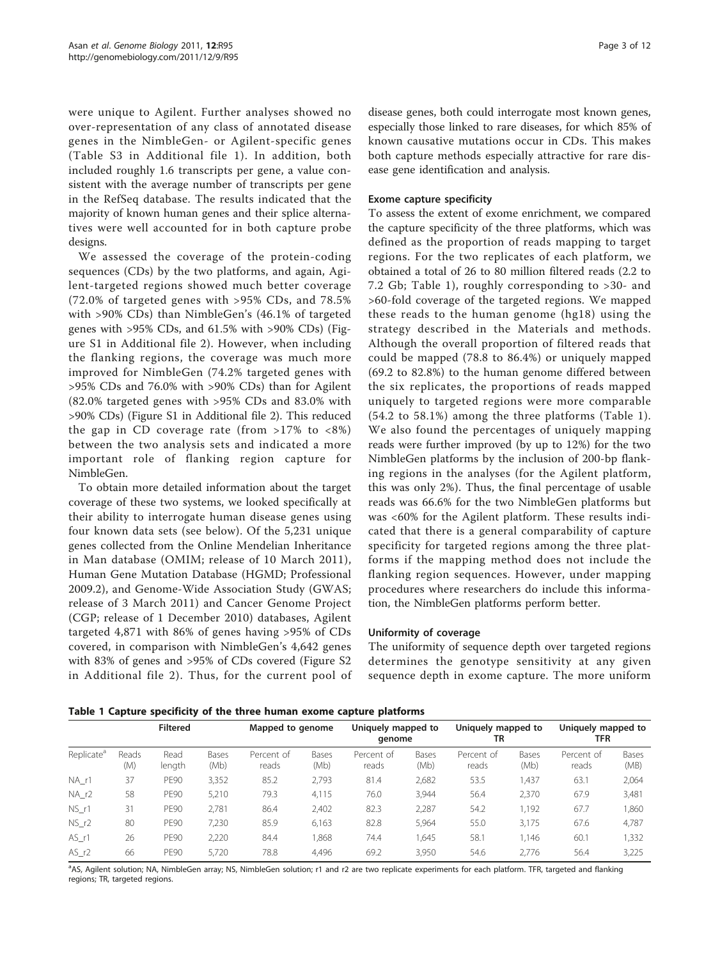were unique to Agilent. Further analyses showed no over-representation of any class of annotated disease genes in the NimbleGen- or Agilent-specific genes (Table S3 in Additional file [1\)](#page-10-0). In addition, both included roughly 1.6 transcripts per gene, a value consistent with the average number of transcripts per gene in the RefSeq database. The results indicated that the majority of known human genes and their splice alternatives were well accounted for in both capture probe designs.

We assessed the coverage of the protein-coding sequences (CDs) by the two platforms, and again, Agilent-targeted regions showed much better coverage (72.0% of targeted genes with >95% CDs, and 78.5% with >90% CDs) than NimbleGen's (46.1% of targeted genes with >95% CDs, and 61.5% with >90% CDs) (Figure S1 in Additional file [2\)](#page-10-0). However, when including the flanking regions, the coverage was much more improved for NimbleGen (74.2% targeted genes with >95% CDs and 76.0% with >90% CDs) than for Agilent (82.0% targeted genes with >95% CDs and 83.0% with >90% CDs) (Figure S1 in Additional file [2](#page-10-0)). This reduced the gap in CD coverage rate (from >17% to <8%) between the two analysis sets and indicated a more important role of flanking region capture for NimbleGen.

To obtain more detailed information about the target coverage of these two systems, we looked specifically at their ability to interrogate human disease genes using four known data sets (see below). Of the 5,231 unique genes collected from the Online Mendelian Inheritance in Man database (OMIM; release of 10 March 2011), Human Gene Mutation Database (HGMD; Professional 2009.2), and Genome-Wide Association Study (GWAS; release of 3 March 2011) and Cancer Genome Project (CGP; release of 1 December 2010) databases, Agilent targeted 4,871 with 86% of genes having >95% of CDs covered, in comparison with NimbleGen's 4,642 genes with 83% of genes and >95% of CDs covered (Figure S2 in Additional file [2](#page-10-0)). Thus, for the current pool of

disease genes, both could interrogate most known genes, especially those linked to rare diseases, for which 85% of known causative mutations occur in CDs. This makes both capture methods especially attractive for rare disease gene identification and analysis.

#### Exome capture specificity

To assess the extent of exome enrichment, we compared the capture specificity of the three platforms, which was defined as the proportion of reads mapping to target regions. For the two replicates of each platform, we obtained a total of 26 to 80 million filtered reads (2.2 to 7.2 Gb; Table 1), roughly corresponding to >30- and >60-fold coverage of the targeted regions. We mapped these reads to the human genome (hg18) using the strategy described in the Materials and methods. Although the overall proportion of filtered reads that could be mapped (78.8 to 86.4%) or uniquely mapped (69.2 to 82.8%) to the human genome differed between the six replicates, the proportions of reads mapped uniquely to targeted regions were more comparable (54.2 to 58.1%) among the three platforms (Table 1). We also found the percentages of uniquely mapping reads were further improved (by up to 12%) for the two NimbleGen platforms by the inclusion of 200-bp flanking regions in the analyses (for the Agilent platform, this was only 2%). Thus, the final percentage of usable reads was 66.6% for the two NimbleGen platforms but was <60% for the Agilent platform. These results indicated that there is a general comparability of capture specificity for targeted regions among the three platforms if the mapping method does not include the flanking region sequences. However, under mapping procedures where researchers do include this information, the NimbleGen platforms perform better.

#### Uniformity of coverage

The uniformity of sequence depth over targeted regions determines the genotype sensitivity at any given sequence depth in exome capture. The more uniform

Table 1 Capture specificity of the three human exome capture platforms

|                        | <b>Filtered</b> |                |               | Mapped to genome    |               | Uniquely mapped to<br>genome |               | Uniquely mapped to<br>TR |               | Uniquely mapped to<br>TFR |               |
|------------------------|-----------------|----------------|---------------|---------------------|---------------|------------------------------|---------------|--------------------------|---------------|---------------------------|---------------|
| Replicate <sup>a</sup> | Reads<br>(M)    | Read<br>length | Bases<br>(Mb) | Percent of<br>reads | Bases<br>(Mb) | Percent of<br>reads          | Bases<br>(Mb) | Percent of<br>reads      | Bases<br>(Mb) | Percent of<br>reads       | Bases<br>(MB) |
| $NA_r1$                | 37              | <b>PE90</b>    | 3,352         | 85.2                | 2,793         | 81.4                         | 2,682         | 53.5                     | 1,437         | 63.1                      | 2,064         |
| $NA_r2$                | 58              | <b>PE90</b>    | 5,210         | 79.3                | 4,115         | 76.0                         | 3.944         | 56.4                     | 2,370         | 67.9                      | 3,481         |
| NS r1                  | 31              | <b>PE90</b>    | 2.781         | 86.4                | 2,402         | 82.3                         | 2.287         | 54.2                     | 1.192         | 67.7                      | 1,860         |
| NS r2                  | 80              | <b>PE90</b>    | 7,230         | 85.9                | 6,163         | 82.8                         | 5.964         | 55.0                     | 3,175         | 67.6                      | 4,787         |
| $AS_r1$                | 26              | <b>PE90</b>    | 2,220         | 84.4                | 868,          | 74.4                         | 645,          | 58.1                     | 1,146         | 60.1                      | 1,332         |
| AS r2                  | 66              | <b>PE90</b>    | 5.720         | 78.8                | 4.496         | 69.2                         | 3.950         | 54.6                     | 2.776         | 56.4                      | 3,225         |

a<br>AS, Agilent solution; NA, NimbleGen array; NS, NimbleGen solution; r1 and r2 are two replicate experiments for each platform. TFR, targeted and flanking regions; TR, targeted regions.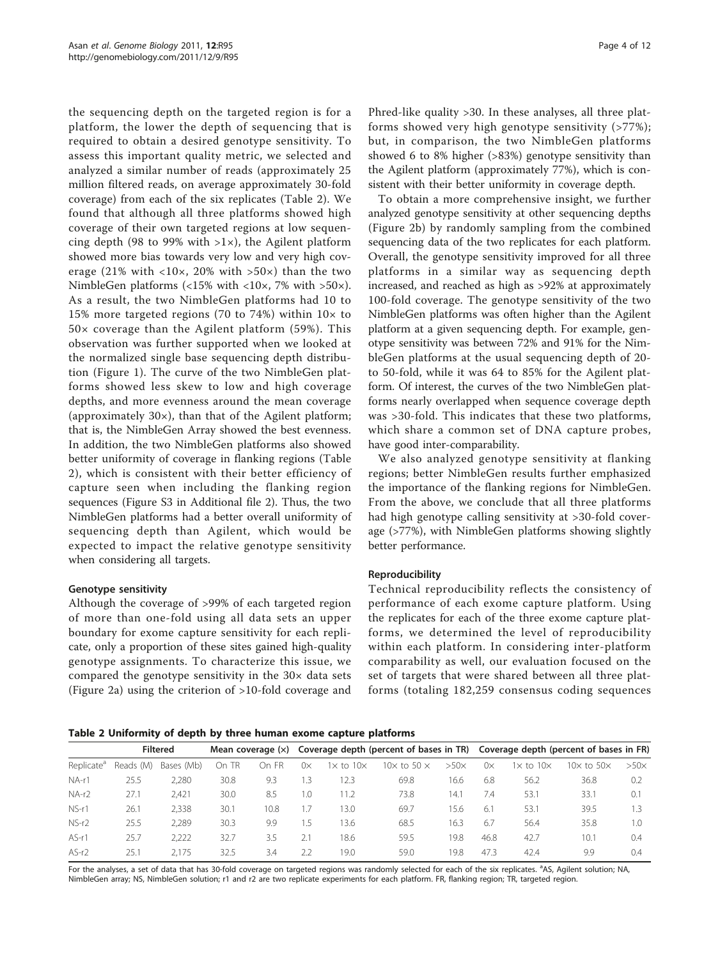the sequencing depth on the targeted region is for a platform, the lower the depth of sequencing that is required to obtain a desired genotype sensitivity. To assess this important quality metric, we selected and analyzed a similar number of reads (approximately 25 million filtered reads, on average approximately 30-fold coverage) from each of the six replicates (Table 2). We found that although all three platforms showed high coverage of their own targeted regions at low sequencing depth (98 to 99% with  $>1\times$ ), the Agilent platform showed more bias towards very low and very high coverage (21% with <10×, 20% with >50×) than the two NimbleGen platforms (<15% with <10×, 7% with >50×). As a result, the two NimbleGen platforms had 10 to 15% more targeted regions (70 to 74%) within  $10 \times$  to 50× coverage than the Agilent platform (59%). This observation was further supported when we looked at the normalized single base sequencing depth distribution (Figure [1\)](#page-4-0). The curve of the two NimbleGen platforms showed less skew to low and high coverage depths, and more evenness around the mean coverage (approximately 30×), than that of the Agilent platform; that is, the NimbleGen Array showed the best evenness. In addition, the two NimbleGen platforms also showed better uniformity of coverage in flanking regions (Table 2), which is consistent with their better efficiency of capture seen when including the flanking region sequences (Figure S3 in Additional file [2](#page-10-0)). Thus, the two NimbleGen platforms had a better overall uniformity of sequencing depth than Agilent, which would be expected to impact the relative genotype sensitivity when considering all targets.

# Genotype sensitivity

Although the coverage of >99% of each targeted region of more than one-fold using all data sets an upper boundary for exome capture sensitivity for each replicate, only a proportion of these sites gained high-quality genotype assignments. To characterize this issue, we compared the genotype sensitivity in the 30× data sets (Figure [2a\)](#page-5-0) using the criterion of >10-fold coverage and

Phred-like quality >30. In these analyses, all three platforms showed very high genotype sensitivity (>77%); but, in comparison, the two NimbleGen platforms showed 6 to 8% higher (>83%) genotype sensitivity than the Agilent platform (approximately 77%), which is consistent with their better uniformity in coverage depth.

To obtain a more comprehensive insight, we further analyzed genotype sensitivity at other sequencing depths (Figure [2b](#page-5-0)) by randomly sampling from the combined sequencing data of the two replicates for each platform. Overall, the genotype sensitivity improved for all three platforms in a similar way as sequencing depth increased, and reached as high as >92% at approximately 100-fold coverage. The genotype sensitivity of the two NimbleGen platforms was often higher than the Agilent platform at a given sequencing depth. For example, genotype sensitivity was between 72% and 91% for the NimbleGen platforms at the usual sequencing depth of 20 to 50-fold, while it was 64 to 85% for the Agilent platform. Of interest, the curves of the two NimbleGen platforms nearly overlapped when sequence coverage depth was >30-fold. This indicates that these two platforms, which share a common set of DNA capture probes, have good inter-comparability.

We also analyzed genotype sensitivity at flanking regions; better NimbleGen results further emphasized the importance of the flanking regions for NimbleGen. From the above, we conclude that all three platforms had high genotype calling sensitivity at >30-fold coverage (>77%), with NimbleGen platforms showing slightly better performance.

#### Reproducibility

Technical reproducibility reflects the consistency of performance of each exome capture platform. Using the replicates for each of the three exome capture platforms, we determined the level of reproducibility within each platform. In considering inter-platform comparability as well, our evaluation focused on the set of targets that were shared between all three platforms (totaling 182,259 consensus coding sequences

Table 2 Uniformity of depth by three human exome capture platforms

|                        | <b>Filtered</b> |            | Mean coverage $(x)$ |       |           |                         |                            |             | Coverage depth (percent of bases in TR) Coverage depth (percent of bases in FR) |                           |                          |             |
|------------------------|-----------------|------------|---------------------|-------|-----------|-------------------------|----------------------------|-------------|---------------------------------------------------------------------------------|---------------------------|--------------------------|-------------|
| Replicate <sup>a</sup> | Reads (M)       | Bases (Mb) | On TR               | On FR | $0\times$ | $1\times$ to $10\times$ | 10 $\times$ to 50 $\times$ | $>50\times$ | $0\times$                                                                       | l $\times$ to 10 $\times$ | $10\times$ to $50\times$ | $>50\times$ |
| $NA-1$                 | 25.5            | 2,280      | 30.8                | 9.3   | 1.3       | 12.3                    | 69.8                       | 16.6        | 6.8                                                                             | 56.2                      | 36.8                     | 0.2         |
| $NA-r2$                | 27.1            | 2.421      | 30.0                | 8.5   | 1.0       | 11.2                    | 73.8                       | 14.1        | 7.4                                                                             | 53.1                      | 33.1                     | 0.1         |
| NS-r1                  | 26.1            | 2.338      | 30.1                | 10.8  | 1.7       | 13.0                    | 69.7                       | 15.6        | 6.1                                                                             | 53.1                      | 39.5                     | 1.3         |
| $NS-r2$                | 25.5            | 2.289      | 30.3                | 9.9   | 1.5       | 13.6                    | 68.5                       | 16.3        | 6.7                                                                             | 56.4                      | 35.8                     | 1.0         |
| $AS-r1$                | 25.7            | 2.222      | 32.7                | 3.5   | 2.1       | 18.6                    | 59.5                       | 19.8        | 46.8                                                                            | 42.7                      | 10.1                     | 0.4         |
| $AS-r2$                | 25.1            | 2.175      | 32.5                | 3.4   | 2.2       | 19.0                    | 59.0                       | 19.8        | 47.3                                                                            | 42.4                      | 9.9                      | 0.4         |

For the analyses, a set of data that has 30-fold coverage on targeted regions was randomly selected for each of the six replicates. <sup>a</sup>AS, Agilent solution; NA, NimbleGen array; NS, NimbleGen solution; r1 and r2 are two replicate experiments for each platform. FR, flanking region; TR, targeted region.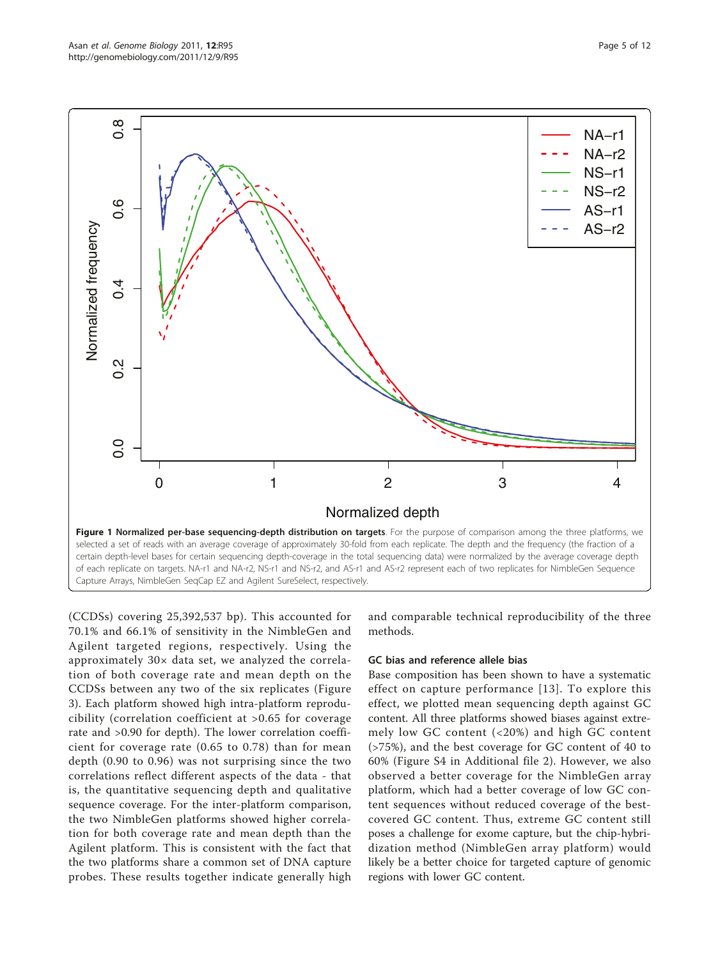<span id="page-4-0"></span>

(CCDSs) covering 25,392,537 bp). This accounted for 70.1% and 66.1% of sensitivity in the NimbleGen and Agilent targeted regions, respectively. Using the approximately 30× data set, we analyzed the correlation of both coverage rate and mean depth on the CCDSs between any two of the six replicates (Figure [3\)](#page-6-0). Each platform showed high intra-platform reproducibility (correlation coefficient at >0.65 for coverage rate and >0.90 for depth). The lower correlation coefficient for coverage rate (0.65 to 0.78) than for mean depth (0.90 to 0.96) was not surprising since the two correlations reflect different aspects of the data - that is, the quantitative sequencing depth and qualitative sequence coverage. For the inter-platform comparison, the two NimbleGen platforms showed higher correlation for both coverage rate and mean depth than the Agilent platform. This is consistent with the fact that the two platforms share a common set of DNA capture probes. These results together indicate generally high

and comparable technical reproducibility of the three methods.

#### GC bias and reference allele bias

Base composition has been shown to have a systematic effect on capture performance [[13\]](#page-11-0). To explore this effect, we plotted mean sequencing depth against GC content. All three platforms showed biases against extremely low GC content (<20%) and high GC content (>75%), and the best coverage for GC content of 40 to 60% (Figure S4 in Additional file [2\)](#page-10-0). However, we also observed a better coverage for the NimbleGen array platform, which had a better coverage of low GC content sequences without reduced coverage of the bestcovered GC content. Thus, extreme GC content still poses a challenge for exome capture, but the chip-hybridization method (NimbleGen array platform) would likely be a better choice for targeted capture of genomic regions with lower GC content.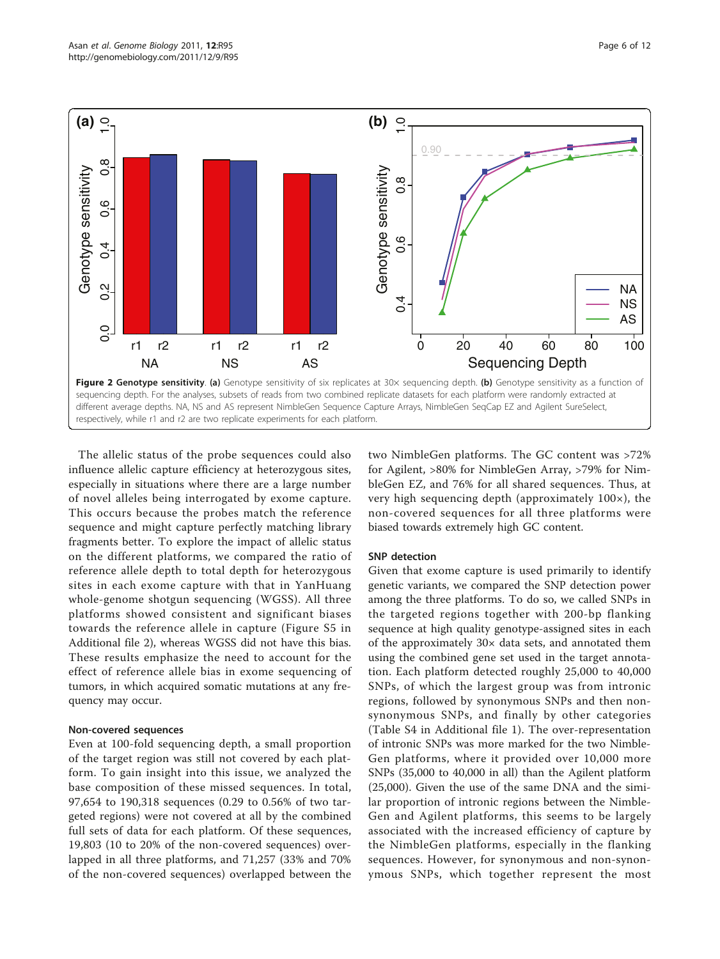<span id="page-5-0"></span>

The allelic status of the probe sequences could also influence allelic capture efficiency at heterozygous sites, especially in situations where there are a large number of novel alleles being interrogated by exome capture. This occurs because the probes match the reference sequence and might capture perfectly matching library fragments better. To explore the impact of allelic status on the different platforms, we compared the ratio of reference allele depth to total depth for heterozygous sites in each exome capture with that in YanHuang whole-genome shotgun sequencing (WGSS). All three platforms showed consistent and significant biases towards the reference allele in capture (Figure S5 in Additional file [2\)](#page-10-0), whereas WGSS did not have this bias. These results emphasize the need to account for the effect of reference allele bias in exome sequencing of tumors, in which acquired somatic mutations at any frequency may occur.

# Non-covered sequences

Even at 100-fold sequencing depth, a small proportion of the target region was still not covered by each platform. To gain insight into this issue, we analyzed the base composition of these missed sequences. In total, 97,654 to 190,318 sequences (0.29 to 0.56% of two targeted regions) were not covered at all by the combined full sets of data for each platform. Of these sequences, 19,803 (10 to 20% of the non-covered sequences) overlapped in all three platforms, and 71,257 (33% and 70% of the non-covered sequences) overlapped between the

two NimbleGen platforms. The GC content was >72% for Agilent, >80% for NimbleGen Array, >79% for NimbleGen EZ, and 76% for all shared sequences. Thus, at very high sequencing depth (approximately 100×), the non-covered sequences for all three platforms were biased towards extremely high GC content.

# SNP detection

Given that exome capture is used primarily to identify genetic variants, we compared the SNP detection power among the three platforms. To do so, we called SNPs in the targeted regions together with 200-bp flanking sequence at high quality genotype-assigned sites in each of the approximately 30× data sets, and annotated them using the combined gene set used in the target annotation. Each platform detected roughly 25,000 to 40,000 SNPs, of which the largest group was from intronic regions, followed by synonymous SNPs and then nonsynonymous SNPs, and finally by other categories (Table S4 in Additional file [1](#page-10-0)). The over-representation of intronic SNPs was more marked for the two Nimble-Gen platforms, where it provided over 10,000 more SNPs (35,000 to 40,000 in all) than the Agilent platform (25,000). Given the use of the same DNA and the similar proportion of intronic regions between the Nimble-Gen and Agilent platforms, this seems to be largely associated with the increased efficiency of capture by the NimbleGen platforms, especially in the flanking sequences. However, for synonymous and non-synonymous SNPs, which together represent the most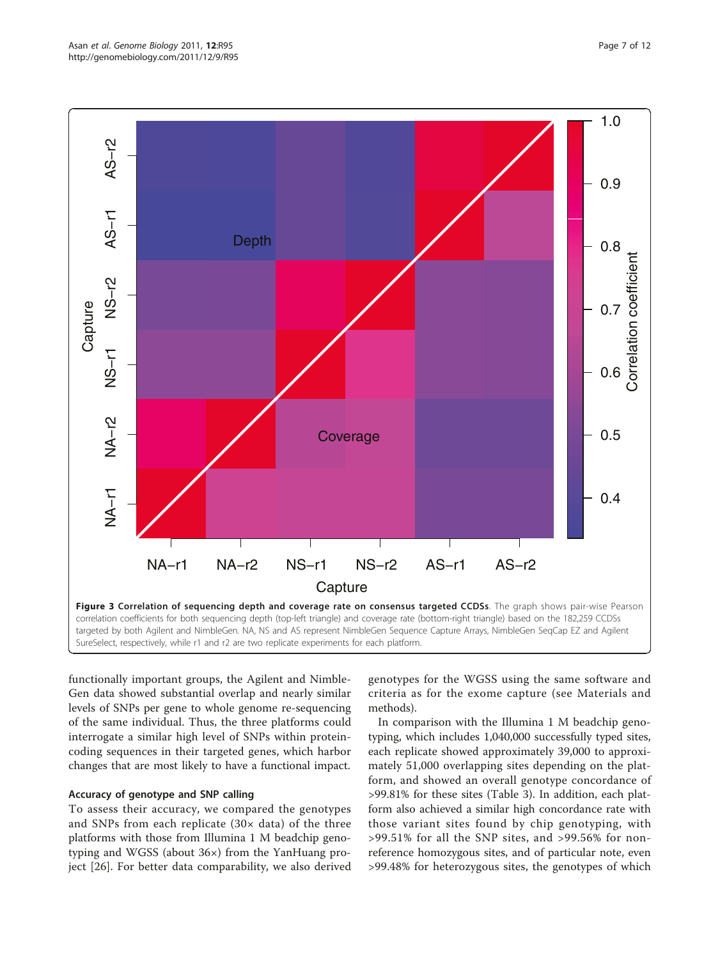<span id="page-6-0"></span>

functionally important groups, the Agilent and Nimble-Gen data showed substantial overlap and nearly similar levels of SNPs per gene to whole genome re-sequencing of the same individual. Thus, the three platforms could interrogate a similar high level of SNPs within proteincoding sequences in their targeted genes, which harbor changes that are most likely to have a functional impact.

# Accuracy of genotype and SNP calling

To assess their accuracy, we compared the genotypes and SNPs from each replicate  $(30 \times data)$  of the three platforms with those from Illumina 1 M beadchip genotyping and WGSS (about 36×) from the YanHuang project [[26](#page-11-0)]. For better data comparability, we also derived

genotypes for the WGSS using the same software and criteria as for the exome capture (see Materials and methods).

In comparison with the Illumina 1 M beadchip genotyping, which includes 1,040,000 successfully typed sites, each replicate showed approximately 39,000 to approximately 51,000 overlapping sites depending on the platform, and showed an overall genotype concordance of >99.81% for these sites (Table [3](#page-7-0)). In addition, each platform also achieved a similar high concordance rate with those variant sites found by chip genotyping, with >99.51% for all the SNP sites, and >99.56% for nonreference homozygous sites, and of particular note, even >99.48% for heterozygous sites, the genotypes of which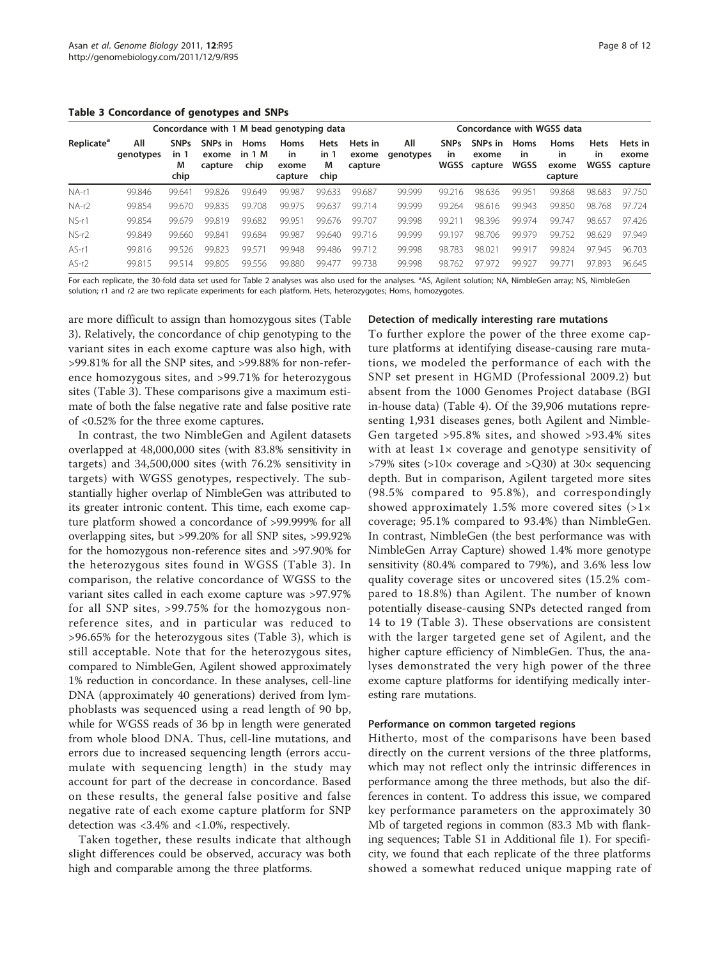<span id="page-7-0"></span>Table 3 Concordance of genotypes and SNPs

|                              | Concordance with 1 M bead genotyping data | Concordance with WGSS data       |                             |                        |                                       |                                  |                             |                  |                                  |                             |                                  |                                       |                           |                             |
|------------------------------|-------------------------------------------|----------------------------------|-----------------------------|------------------------|---------------------------------------|----------------------------------|-----------------------------|------------------|----------------------------------|-----------------------------|----------------------------------|---------------------------------------|---------------------------|-----------------------------|
| <b>Replicate<sup>a</sup></b> | All<br>genotypes                          | <b>SNPs</b><br>in 1<br>M<br>chip | SNPs in<br>exome<br>capture | Homs<br>in 1 M<br>chip | Homs<br><i>in</i><br>exome<br>capture | <b>Hets</b><br>in 1<br>M<br>chip | Hets in<br>exome<br>capture | All<br>genotypes | <b>SNPs</b><br><b>in</b><br>WGSS | SNPs in<br>exome<br>capture | <b>Homs</b><br>in<br><b>WGSS</b> | <b>Homs</b><br>in<br>exome<br>capture | <b>Hets</b><br>in<br>WGSS | Hets in<br>exome<br>capture |
| $NA-r1$                      | 99.846                                    | 99.641                           | 99.826                      | 99.649                 | 99.987                                | 99.633                           | 99.687                      | 99.999           | 99.216                           | 98.636                      | 99.951                           | 99.868                                | 98.683                    | 97.750                      |
| $NA-r2$                      | 99.854                                    | 99.670                           | 99.835                      | 99.708                 | 99.975                                | 99.637                           | 99.714                      | 99.999           | 99.264                           | 98.616                      | 99.943                           | 99.850                                | 98.768                    | 97.724                      |
| NS-r1                        | 99.854                                    | 99679                            | 99.819                      | 99.682                 | 99.951                                | 99.676                           | 99.707                      | 99.998           | 99.211                           | 98.396                      | 99.974                           | 99.747                                | 98.657                    | 97.426                      |
| $NS-r2$                      | 99.849                                    | 99.660                           | 99.841                      | 99.684                 | 99.987                                | 99.640                           | 99.716                      | 99.999           | 99.197                           | 98.706                      | 99.979                           | 99.752                                | 98.629                    | 97.949                      |
| $AS-r1$                      | 99.816                                    | 99.526                           | 99.823                      | 99.571                 | 99.948                                | 99.486                           | 99.712                      | 99.998           | 98.783                           | 98.021                      | 99.917                           | 99.824                                | 97.945                    | 96.703                      |
| $AS-r2$                      | 99.815                                    | 99.514                           | 99.805                      | 99.556                 | 99.880                                | 99.477                           | 99.738                      | 99.998           | 98.762                           | 97.972                      | 99.927                           | 99.771                                | 97.893                    | 96.645                      |

For each replicate, the 30-fold data set used for Table 2 analyses was also used for the analyses. <sup>a</sup>AS, Agilent solution; NA, NimbleGen array; NS, NimbleGen solution; r1 and r2 are two replicate experiments for each platform. Hets, heterozygotes; Homs, homozygotes.

are more difficult to assign than homozygous sites (Table 3). Relatively, the concordance of chip genotyping to the variant sites in each exome capture was also high, with >99.81% for all the SNP sites, and >99.88% for non-reference homozygous sites, and >99.71% for heterozygous sites (Table 3). These comparisons give a maximum estimate of both the false negative rate and false positive rate of <0.52% for the three exome captures.

In contrast, the two NimbleGen and Agilent datasets overlapped at 48,000,000 sites (with 83.8% sensitivity in targets) and 34,500,000 sites (with 76.2% sensitivity in targets) with WGSS genotypes, respectively. The substantially higher overlap of NimbleGen was attributed to its greater intronic content. This time, each exome capture platform showed a concordance of >99.999% for all overlapping sites, but >99.20% for all SNP sites, >99.92% for the homozygous non-reference sites and >97.90% for the heterozygous sites found in WGSS (Table 3). In comparison, the relative concordance of WGSS to the variant sites called in each exome capture was >97.97% for all SNP sites, >99.75% for the homozygous nonreference sites, and in particular was reduced to >96.65% for the heterozygous sites (Table 3), which is still acceptable. Note that for the heterozygous sites, compared to NimbleGen, Agilent showed approximately 1% reduction in concordance. In these analyses, cell-line DNA (approximately 40 generations) derived from lymphoblasts was sequenced using a read length of 90 bp, while for WGSS reads of 36 bp in length were generated from whole blood DNA. Thus, cell-line mutations, and errors due to increased sequencing length (errors accumulate with sequencing length) in the study may account for part of the decrease in concordance. Based on these results, the general false positive and false negative rate of each exome capture platform for SNP detection was <3.4% and <1.0%, respectively.

Taken together, these results indicate that although slight differences could be observed, accuracy was both high and comparable among the three platforms.

#### Detection of medically interesting rare mutations

To further explore the power of the three exome capture platforms at identifying disease-causing rare mutations, we modeled the performance of each with the SNP set present in HGMD (Professional 2009.2) but absent from the 1000 Genomes Project database (BGI in-house data) (Table [4](#page-8-0)). Of the 39,906 mutations representing 1,931 diseases genes, both Agilent and Nimble-Gen targeted >95.8% sites, and showed >93.4% sites with at least  $1 \times$  coverage and genotype sensitivity of >79% sites (>10× coverage and >Q30) at 30× sequencing depth. But in comparison, Agilent targeted more sites (98.5% compared to 95.8%), and correspondingly showed approximately 1.5% more covered sites  $(>1)$ coverage; 95.1% compared to 93.4%) than NimbleGen. In contrast, NimbleGen (the best performance was with NimbleGen Array Capture) showed 1.4% more genotype sensitivity (80.4% compared to 79%), and 3.6% less low quality coverage sites or uncovered sites (15.2% compared to 18.8%) than Agilent. The number of known potentially disease-causing SNPs detected ranged from 14 to 19 (Table 3). These observations are consistent with the larger targeted gene set of Agilent, and the higher capture efficiency of NimbleGen. Thus, the analyses demonstrated the very high power of the three exome capture platforms for identifying medically interesting rare mutations.

#### Performance on common targeted regions

Hitherto, most of the comparisons have been based directly on the current versions of the three platforms, which may not reflect only the intrinsic differences in performance among the three methods, but also the differences in content. To address this issue, we compared key performance parameters on the approximately 30 Mb of targeted regions in common (83.3 Mb with flanking sequences; Table S1 in Additional file [1\)](#page-10-0). For specificity, we found that each replicate of the three platforms showed a somewhat reduced unique mapping rate of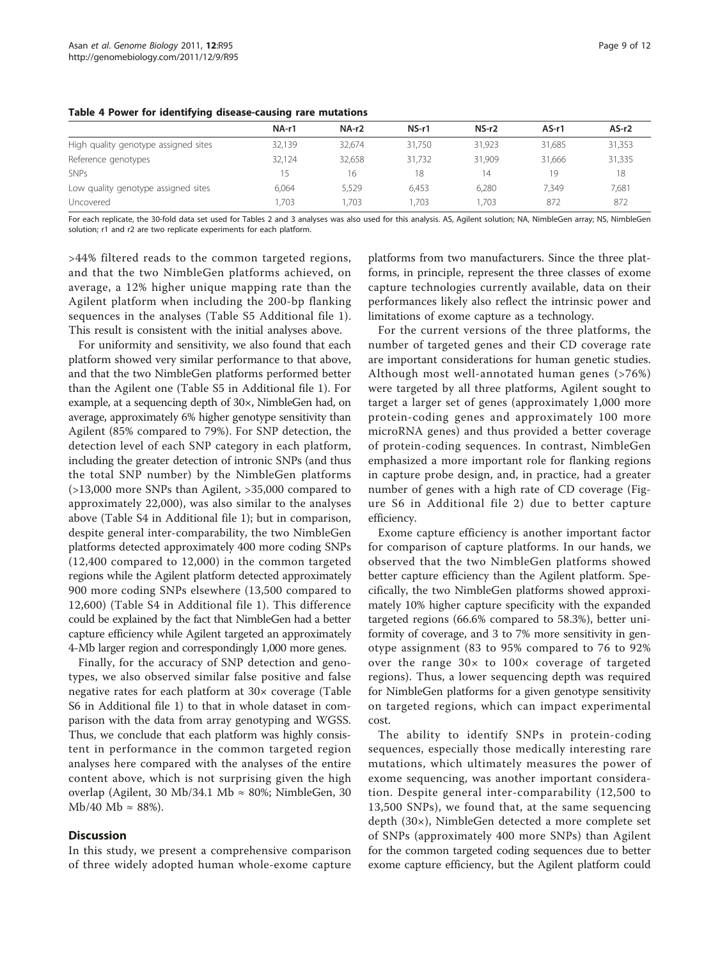|                                      | NA-r1  | NA-r2  | NS-r1  | $NS-r2$ | $AS-r1$ | $AS-r2$ |
|--------------------------------------|--------|--------|--------|---------|---------|---------|
| High quality genotype assigned sites | 32.139 | 32.674 | 31.750 | 31.923  | 31.685  | 31,353  |
| Reference genotypes                  | 32.124 | 32.658 | 31.732 | 31.909  | 31.666  | 31,335  |
| <b>SNPs</b>                          | 15     | 16     | 18     | 14      | 19      | 18      |
| Low quality genotype assigned sites  | 6.064  | 5.529  | 6.453  | 6.280   | 7,349   | 7,681   |
| Uncovered                            | 1.703  | .703   | .703   | 1.703   | 872     | 872     |

<span id="page-8-0"></span>Table 4 Power for identifying disease-causing rare mutations

For each replicate, the 30-fold data set used for Tables 2 and 3 analyses was also used for this analysis. AS, Agilent solution; NA, NimbleGen array; NS, NimbleGen solution; r1 and r2 are two replicate experiments for each platform.

>44% filtered reads to the common targeted regions, and that the two NimbleGen platforms achieved, on average, a 12% higher unique mapping rate than the Agilent platform when including the 200-bp flanking sequences in the analyses (Table S5 Additional file [1](#page-10-0)). This result is consistent with the initial analyses above.

For uniformity and sensitivity, we also found that each platform showed very similar performance to that above, and that the two NimbleGen platforms performed better than the Agilent one (Table S5 in Additional file [1\)](#page-10-0). For example, at a sequencing depth of 30×, NimbleGen had, on average, approximately 6% higher genotype sensitivity than Agilent (85% compared to 79%). For SNP detection, the detection level of each SNP category in each platform, including the greater detection of intronic SNPs (and thus the total SNP number) by the NimbleGen platforms (>13,000 more SNPs than Agilent, >35,000 compared to approximately 22,000), was also similar to the analyses above (Table S4 in Additional file [1\)](#page-10-0); but in comparison, despite general inter-comparability, the two NimbleGen platforms detected approximately 400 more coding SNPs (12,400 compared to 12,000) in the common targeted regions while the Agilent platform detected approximately 900 more coding SNPs elsewhere (13,500 compared to 12,600) (Table S4 in Additional file [1](#page-10-0)). This difference could be explained by the fact that NimbleGen had a better capture efficiency while Agilent targeted an approximately 4-Mb larger region and correspondingly 1,000 more genes.

Finally, for the accuracy of SNP detection and genotypes, we also observed similar false positive and false negative rates for each platform at 30× coverage (Table S6 in Additional file [1\)](#page-10-0) to that in whole dataset in comparison with the data from array genotyping and WGSS. Thus, we conclude that each platform was highly consistent in performance in the common targeted region analyses here compared with the analyses of the entire content above, which is not surprising given the high overlap (Agilent, 30 Mb/34.1 Mb  $\approx$  80%; NimbleGen, 30 Mb/40 Mb  $\approx$  88%).

# Discussion

In this study, we present a comprehensive comparison of three widely adopted human whole-exome capture

platforms from two manufacturers. Since the three platforms, in principle, represent the three classes of exome capture technologies currently available, data on their performances likely also reflect the intrinsic power and limitations of exome capture as a technology.

For the current versions of the three platforms, the number of targeted genes and their CD coverage rate are important considerations for human genetic studies. Although most well-annotated human genes (>76%) were targeted by all three platforms, Agilent sought to target a larger set of genes (approximately 1,000 more protein-coding genes and approximately 100 more microRNA genes) and thus provided a better coverage of protein-coding sequences. In contrast, NimbleGen emphasized a more important role for flanking regions in capture probe design, and, in practice, had a greater number of genes with a high rate of CD coverage (Figure S6 in Additional file [2](#page-10-0)) due to better capture efficiency.

Exome capture efficiency is another important factor for comparison of capture platforms. In our hands, we observed that the two NimbleGen platforms showed better capture efficiency than the Agilent platform. Specifically, the two NimbleGen platforms showed approximately 10% higher capture specificity with the expanded targeted regions (66.6% compared to 58.3%), better uniformity of coverage, and 3 to 7% more sensitivity in genotype assignment (83 to 95% compared to 76 to 92% over the range 30× to 100× coverage of targeted regions). Thus, a lower sequencing depth was required for NimbleGen platforms for a given genotype sensitivity on targeted regions, which can impact experimental cost.

The ability to identify SNPs in protein-coding sequences, especially those medically interesting rare mutations, which ultimately measures the power of exome sequencing, was another important consideration. Despite general inter-comparability (12,500 to 13,500 SNPs), we found that, at the same sequencing depth (30×), NimbleGen detected a more complete set of SNPs (approximately 400 more SNPs) than Agilent for the common targeted coding sequences due to better exome capture efficiency, but the Agilent platform could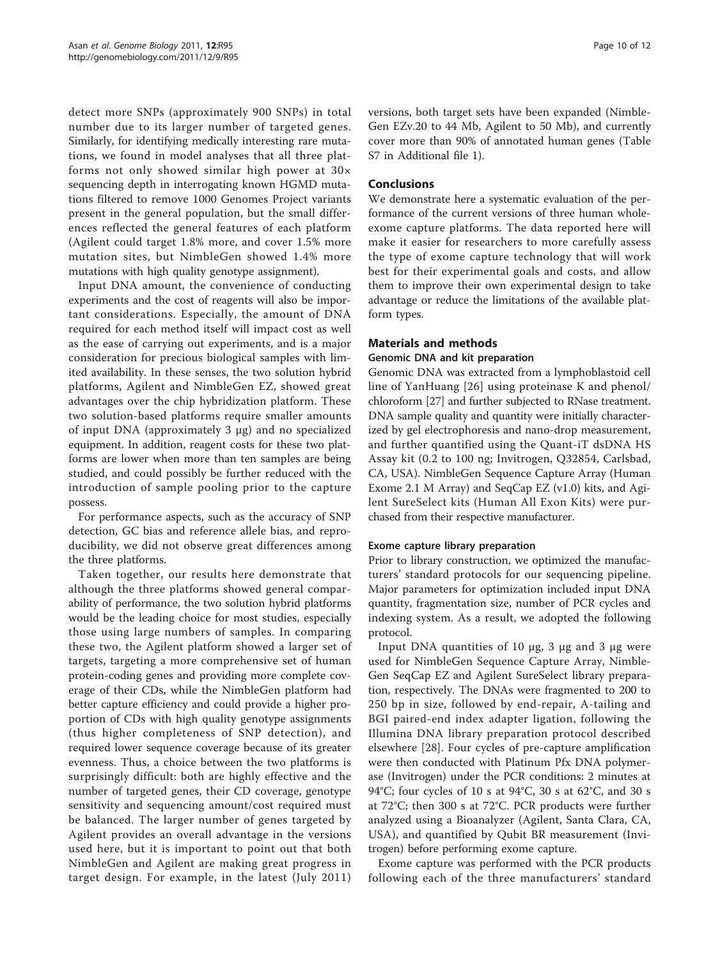detect more SNPs (approximately 900 SNPs) in total number due to its larger number of targeted genes. Similarly, for identifying medically interesting rare mutations, we found in model analyses that all three platforms not only showed similar high power at 30× sequencing depth in interrogating known HGMD mutations filtered to remove 1000 Genomes Project variants present in the general population, but the small differences reflected the general features of each platform (Agilent could target 1.8% more, and cover 1.5% more mutation sites, but NimbleGen showed 1.4% more mutations with high quality genotype assignment).

Input DNA amount, the convenience of conducting experiments and the cost of reagents will also be important considerations. Especially, the amount of DNA required for each method itself will impact cost as well as the ease of carrying out experiments, and is a major consideration for precious biological samples with limited availability. In these senses, the two solution hybrid platforms, Agilent and NimbleGen EZ, showed great advantages over the chip hybridization platform. These two solution-based platforms require smaller amounts of input DNA (approximately 3 μg) and no specialized equipment. In addition, reagent costs for these two platforms are lower when more than ten samples are being studied, and could possibly be further reduced with the introduction of sample pooling prior to the capture possess.

For performance aspects, such as the accuracy of SNP detection, GC bias and reference allele bias, and reproducibility, we did not observe great differences among the three platforms.

Taken together, our results here demonstrate that although the three platforms showed general comparability of performance, the two solution hybrid platforms would be the leading choice for most studies, especially those using large numbers of samples. In comparing these two, the Agilent platform showed a larger set of targets, targeting a more comprehensive set of human protein-coding genes and providing more complete coverage of their CDs, while the NimbleGen platform had better capture efficiency and could provide a higher proportion of CDs with high quality genotype assignments (thus higher completeness of SNP detection), and required lower sequence coverage because of its greater evenness. Thus, a choice between the two platforms is surprisingly difficult: both are highly effective and the number of targeted genes, their CD coverage, genotype sensitivity and sequencing amount/cost required must be balanced. The larger number of genes targeted by Agilent provides an overall advantage in the versions used here, but it is important to point out that both NimbleGen and Agilent are making great progress in target design. For example, in the latest (July 2011)

versions, both target sets have been expanded (Nimble-Gen EZv.20 to 44 Mb, Agilent to 50 Mb), and currently cover more than 90% of annotated human genes (Table S7 in Additional file [1\)](#page-10-0).

#### Conclusions

We demonstrate here a systematic evaluation of the performance of the current versions of three human wholeexome capture platforms. The data reported here will make it easier for researchers to more carefully assess the type of exome capture technology that will work best for their experimental goals and costs, and allow them to improve their own experimental design to take advantage or reduce the limitations of the available platform types.

#### Materials and methods

#### Genomic DNA and kit preparation

Genomic DNA was extracted from a lymphoblastoid cell line of YanHuang [[26](#page-11-0)] using proteinase K and phenol/ chloroform [\[27\]](#page-11-0) and further subjected to RNase treatment. DNA sample quality and quantity were initially characterized by gel electrophoresis and nano-drop measurement, and further quantified using the Quant-iT dsDNA HS Assay kit (0.2 to 100 ng; Invitrogen, Q32854, Carlsbad, CA, USA). NimbleGen Sequence Capture Array (Human Exome 2.1 M Array) and SeqCap EZ (v1.0) kits, and Agilent SureSelect kits (Human All Exon Kits) were purchased from their respective manufacturer.

#### Exome capture library preparation

Prior to library construction, we optimized the manufacturers' standard protocols for our sequencing pipeline. Major parameters for optimization included input DNA quantity, fragmentation size, number of PCR cycles and indexing system. As a result, we adopted the following protocol.

Input DNA quantities of 10 μg, 3 μg and 3 μg were used for NimbleGen Sequence Capture Array, Nimble-Gen SeqCap EZ and Agilent SureSelect library preparation, respectively. The DNAs were fragmented to 200 to 250 bp in size, followed by end-repair, A-tailing and BGI paired-end index adapter ligation, following the Illumina DNA library preparation protocol described elsewhere [[28\]](#page-11-0). Four cycles of pre-capture amplification were then conducted with Platinum Pfx DNA polymerase (Invitrogen) under the PCR conditions: 2 minutes at 94°C; four cycles of 10 s at 94°C, 30 s at 62°C, and 30 s at 72°C; then 300 s at 72°C. PCR products were further analyzed using a Bioanalyzer (Agilent, Santa Clara, CA, USA), and quantified by Qubit BR measurement (Invitrogen) before performing exome capture.

Exome capture was performed with the PCR products following each of the three manufacturers' standard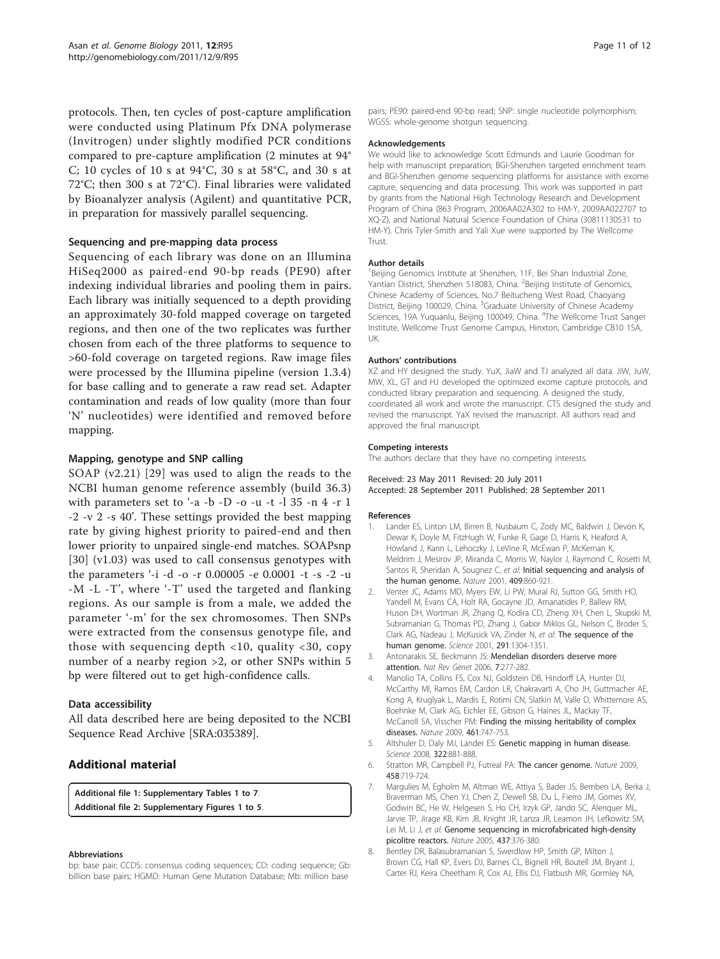<span id="page-10-0"></span>protocols. Then, ten cycles of post-capture amplification were conducted using Platinum Pfx DNA polymerase (Invitrogen) under slightly modified PCR conditions compared to pre-capture amplification (2 minutes at 94° C; 10 cycles of 10 s at 94°C, 30 s at 58°C, and 30 s at 72°C; then 300 s at 72°C). Final libraries were validated by Bioanalyzer analysis (Agilent) and quantitative PCR, in preparation for massively parallel sequencing.

#### Sequencing and pre-mapping data process

Sequencing of each library was done on an Illumina HiSeq2000 as paired-end 90-bp reads (PE90) after indexing individual libraries and pooling them in pairs. Each library was initially sequenced to a depth providing an approximately 30-fold mapped coverage on targeted regions, and then one of the two replicates was further chosen from each of the three platforms to sequence to >60-fold coverage on targeted regions. Raw image files were processed by the Illumina pipeline (version 1.3.4) for base calling and to generate a raw read set. Adapter contamination and reads of low quality (more than four 'N' nucleotides) were identified and removed before mapping.

#### Mapping, genotype and SNP calling

SOAP (v2.21) [\[29\]](#page-11-0) was used to align the reads to the NCBI human genome reference assembly (build 36.3) with parameters set to '-a -b -D -o -u -t -l 35 -n 4 -r 1 -2 -v 2 -s 40'. These settings provided the best mapping rate by giving highest priority to paired-end and then lower priority to unpaired single-end matches. SOAPsnp [[30](#page-11-0)] (v1.03) was used to call consensus genotypes with the parameters '-i -d -o -r 0.00005 -e 0.0001 -t -s -2 -u -M -L -T', where '-T' used the targeted and flanking regions. As our sample is from a male, we added the parameter '-m' for the sex chromosomes. Then SNPs were extracted from the consensus genotype file, and those with sequencing depth <10, quality <30, copy number of a nearby region >2, or other SNPs within 5 bp were filtered out to get high-confidence calls.

#### Data accessibility

All data described here are being deposited to the NCBI Sequence Read Archive [SRA:035389].

### Additional material

[Additional file 1: S](http://www.biomedcentral.com/content/supplementary/gb-2011-12-9-r95-S1.PDF)upplementary Tables 1 to 7. [Additional file 2: S](http://www.biomedcentral.com/content/supplementary/gb-2011-12-9-r95-S2.PDF)upplementary Figures 1 to 5.

#### Abbreviations

bp: base pair; CCDS: consensus coding sequences; CD: coding sequence; Gb: billion base pairs; HGMD: Human Gene Mutation Database; Mb: million base

pairs; PE90: paired-end 90-bp read; SNP: single nucleotide polymorphism; WGSS: whole-genome shotgun sequencing.

#### Acknowledgements

We would like to acknowledge Scott Edmunds and Laurie Goodman for help with manuscript preparation; BGI-Shenzhen targeted enrichment team and BGI-Shenzhen genome sequencing platforms for assistance with exome capture, sequencing and data processing. This work was supported in part by grants from the National High Technology Research and Development Program of China (863 Program, 2006AA02A302 to HM-Y, 2009AA022707 to XQ-Z), and National Natural Science Foundation of China (30811130531 to HM-Y). Chris Tyler-Smith and Yali Xue were supported by The Wellcome Trust.

#### Author details

<sup>1</sup>Beijing Genomics Institute at Shenzhen, 11F, Bei Shan Industrial Zone, Yantian District, Shenzhen 518083, China. <sup>2</sup>Beijing Institute of Genomics, Chinese Academy of Sciences, No.7 Beitucheng West Road, Chaoyang District, Beijing 100029, China. <sup>3</sup>Graduate University of Chinese Academy Sciences, 19A Yuquanlu, Beijing 100049, China. <sup>4</sup>The Wellcome Trust Sanger Institute, Wellcome Trust Genome Campus, Hinxton, Cambridge CB10 1SA, UK.

#### Authors' contributions

XZ and HY designed the study. YuX, JiaW and TJ analyzed all data. JiW, JuW, MW, XL, GT and HJ developed the optimized exome capture protocols, and conducted library preparation and sequencing. A designed the study, coordinated all work and wrote the manuscript. CTS designed the study and revised the manuscript. YaX revised the manuscript. All authors read and approved the final manuscript.

#### Competing interests

The authors declare that they have no competing interests.

#### Received: 23 May 2011 Revised: 20 July 2011 Accepted: 28 September 2011 Published: 28 September 2011

#### References

- 1. Lander ES, Linton LM, Birren B, Nusbaum C, Zody MC, Baldwin J, Devon K, Dewar K, Doyle M, FitzHugh W, Funke R, Gage D, Harris K, Heaford A, Howland J, Kann L, Lehoczky J, LeVine R, McEwan P, McKernan K, Meldrim J, Mesirov JP, Miranda C, Morris W, Naylor J, Raymond C, Rosetti M, Santos R, Sheridan A, Sougnez C, et al: [Initial sequencing and analysis of](http://www.ncbi.nlm.nih.gov/pubmed/11237011?dopt=Abstract) [the human genome.](http://www.ncbi.nlm.nih.gov/pubmed/11237011?dopt=Abstract) Nature 2001, 409:860-921.
- 2. Venter JC, Adams MD, Myers EW, Li PW, Mural RJ, Sutton GG, Smith HO, Yandell M, Evans CA, Holt RA, Gocayne JD, Amanatides P, Ballew RM, Huson DH, Wortman JR, Zhang Q, Kodira CD, Zheng XH, Chen L, Skupski M, Subramanian G, Thomas PD, Zhang J, Gabor Miklos GL, Nelson C, Broder S, Clark AG, Nadeau J, McKusick VA, Zinder N, et al: [The sequence of the](http://www.ncbi.nlm.nih.gov/pubmed/11181995?dopt=Abstract) [human genome.](http://www.ncbi.nlm.nih.gov/pubmed/11181995?dopt=Abstract) Science 2001, 291:1304-1351.
- 3. Antonarakis SE, Beckmann JS: [Mendelian disorders deserve more](http://www.ncbi.nlm.nih.gov/pubmed/16534515?dopt=Abstract) [attention.](http://www.ncbi.nlm.nih.gov/pubmed/16534515?dopt=Abstract) Nat Rev Genet 2006, 7:277-282.
- 4. Manolio TA, Collins FS, Cox NJ, Goldstein DB, Hindorff LA, Hunter DJ, McCarthy MI, Ramos EM, Cardon LR, Chakravarti A, Cho JH, Guttmacher AE, Kong A, Kruglyak L, Mardis E, Rotimi CN, Slatkin M, Valle D, Whittemore AS, Boehnke M, Clark AG, Eichler EE, Gibson G, Haines JL, Mackay TF, McCarroll SA, Visscher PM: [Finding the missing heritability of complex](http://www.ncbi.nlm.nih.gov/pubmed/19812666?dopt=Abstract) [diseases.](http://www.ncbi.nlm.nih.gov/pubmed/19812666?dopt=Abstract) Nature 2009, 461:747-753.
- 5. Altshuler D, Daly MJ, Lander ES: [Genetic mapping in human disease.](http://www.ncbi.nlm.nih.gov/pubmed/18988837?dopt=Abstract) Science 2008, 322:881-888.
- 6. Stratton MR, Campbell PJ, Futreal PA: [The cancer genome.](http://www.ncbi.nlm.nih.gov/pubmed/19360079?dopt=Abstract) Nature 2009, 458:719-724.
- 7. Margulies M, Egholm M, Altman WE, Attiya S, Bader JS, Bemben LA, Berka J, Braverman MS, Chen YJ, Chen Z, Dewell SB, Du L, Fierro JM, Gomes XV, Godwin BC, He W, Helgesen S, Ho CH, Irzyk GP, Jando SC, Alenquer ML, Jarvie TP, Jirage KB, Kim JB, Knight JR, Lanza JR, Leamon JH, Lefkowitz SM, Lei M, Li J, et al: [Genome sequencing in microfabricated high-density](http://www.ncbi.nlm.nih.gov/pubmed/16056220?dopt=Abstract) [picolitre reactors.](http://www.ncbi.nlm.nih.gov/pubmed/16056220?dopt=Abstract) Nature 2005, 437:376-380.
- 8. Bentley DR, Balasubramanian S, Swerdlow HP, Smith GP, Milton J, Brown CG, Hall KP, Evers DJ, Barnes CL, Bignell HR, Boutell JM, Bryant J, Carter RJ, Keira Cheetham R, Cox AJ, Ellis DJ, Flatbush MR, Gormley NA,